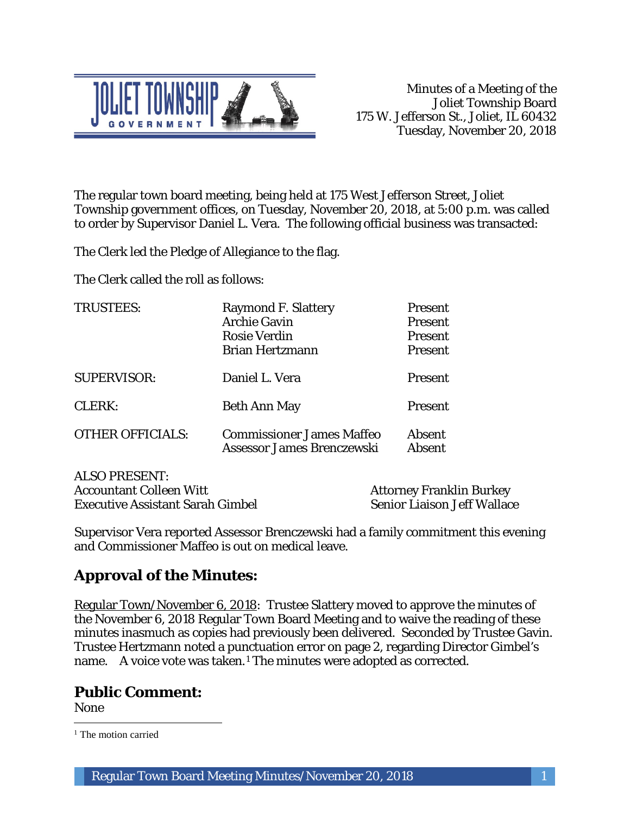

The regular town board meeting, being held at 175 West Jefferson Street, Joliet Township government offices, on Tuesday, November 20, 2018, at 5:00 p.m. was called to order by Supervisor Daniel L. Vera. The following official business was transacted:

The Clerk led the Pledge of Allegiance to the flag.

The Clerk called the roll as follows:

| <b>TRUSTEES:</b>        | <b>Raymond F. Slattery</b><br><b>Archie Gavin</b><br><b>Rosie Verdin</b><br><b>Brian Hertzmann</b> | <b>Present</b><br><b>Present</b><br><b>Present</b><br><b>Present</b> |
|-------------------------|----------------------------------------------------------------------------------------------------|----------------------------------------------------------------------|
| <b>SUPERVISOR:</b>      | Daniel L. Vera                                                                                     | <b>Present</b>                                                       |
| CLERK:                  | <b>Beth Ann May</b>                                                                                | <b>Present</b>                                                       |
| <b>OTHER OFFICIALS:</b> | <b>Commissioner James Maffeo</b><br>Assessor James Brenczewski                                     | <b>Absent</b><br><b>Absent</b>                                       |

ALSO PRESENT: Accountant Colleen Witt<br>
Executive Assistant Sarah Gimbel<br>
Senior Liaison Jeff Wallace Executive Assistant Sarah Gimbel

Supervisor Vera reported Assessor Brenczewski had a family commitment this evening and Commissioner Maffeo is out on medical leave.

# **Approval of the Minutes:**

Regular Town/November 6, 2018: Trustee Slattery moved to approve the minutes of the November 6, 2018 Regular Town Board Meeting and to waive the reading of these minutes inasmuch as copies had previously been delivered. Seconded by Trustee Gavin. Trustee Hertzmann noted a punctuation error on page 2, regarding Director Gimbel's name. A voice vote was taken.<sup>1</sup> The minutes were adopted as corrected.

## **Public Comment:**

None

 $\overline{a}$ <sup>1</sup> The motion carried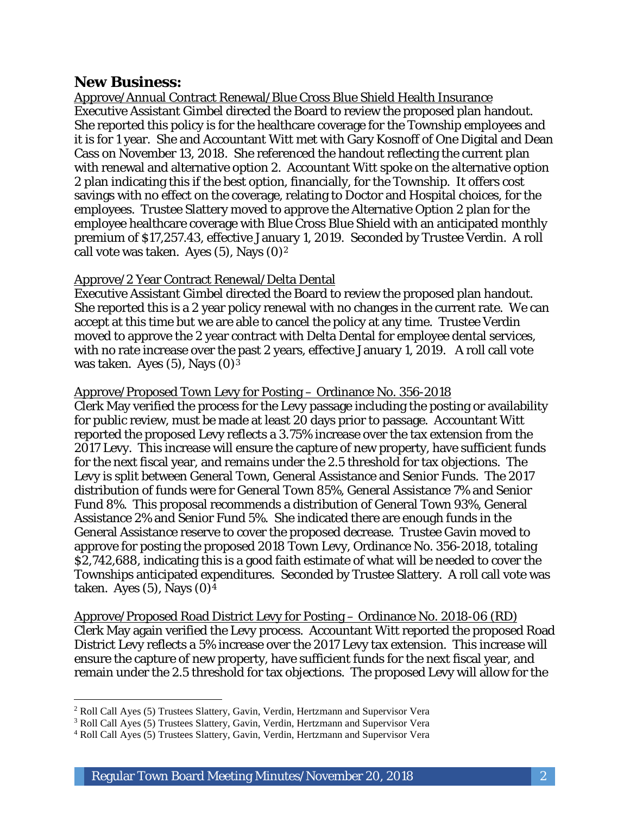### **New Business:**

I

Approve/Annual Contract Renewal/Blue Cross Blue Shield Health Insurance Executive Assistant Gimbel directed the Board to review the proposed plan handout. She reported this policy is for the healthcare coverage for the Township employees and it is for 1 year. She and Accountant Witt met with Gary Kosnoff of One Digital and Dean Cass on November 13, 2018. She referenced the handout reflecting the current plan with renewal and alternative option 2. Accountant Witt spoke on the alternative option 2 plan indicating this if the best option, financially, for the Township. It offers cost savings with no effect on the coverage, relating to Doctor and Hospital choices, for the employees. Trustee Slattery moved to approve the Alternative Option 2 plan for the employee healthcare coverage with Blue Cross Blue Shield with an anticipated monthly premium of \$17,257.43, effective January 1, 2019. Seconded by Trustee Verdin. A roll call vote was taken. Ayes  $(5)$ , Nays  $(0)<sup>2</sup>$ 

#### Approve/2 Year Contract Renewal/Delta Dental

Executive Assistant Gimbel directed the Board to review the proposed plan handout. She reported this is a 2 year policy renewal with no changes in the current rate. We can accept at this time but we are able to cancel the policy at any time. Trustee Verdin moved to approve the 2 year contract with Delta Dental for employee dental services, with no rate increase over the past 2 years, effective January 1, 2019. A roll call vote was taken. Ayes  $(5)$ , Nays  $(0)<sup>3</sup>$ 

#### Approve/Proposed Town Levy for Posting – Ordinance No. 356-2018

Clerk May verified the process for the Levy passage including the posting or availability for public review, must be made at least 20 days prior to passage. Accountant Witt reported the proposed Levy reflects a 3.75% increase over the tax extension from the 2017 Levy. This increase will ensure the capture of new property, have sufficient funds for the next fiscal year, and remains under the 2.5 threshold for tax objections. The Levy is split between General Town, General Assistance and Senior Funds. The 2017 distribution of funds were for General Town 85%, General Assistance 7% and Senior Fund 8%. This proposal recommends a distribution of General Town 93%, General Assistance 2% and Senior Fund 5%. She indicated there are enough funds in the General Assistance reserve to cover the proposed decrease. Trustee Gavin moved to approve for posting the proposed 2018 Town Levy, Ordinance No. 356-2018, totaling \$2,742,688, indicating this is a good faith estimate of what will be needed to cover the Townships anticipated expenditures. Seconded by Trustee Slattery. A roll call vote was taken. Ayes  $(5)$ , Nays  $(0)<sup>4</sup>$ 

Approve/Proposed Road District Levy for Posting – Ordinance No. 2018-06 (RD) Clerk May again verified the Levy process. Accountant Witt reported the proposed Road District Levy reflects a 5% increase over the 2017 Levy tax extension. This increase will ensure the capture of new property, have sufficient funds for the next fiscal year, and remain under the 2.5 threshold for tax objections. The proposed Levy will allow for the

<sup>2</sup> Roll Call Ayes (5) Trustees Slattery, Gavin, Verdin, Hertzmann and Supervisor Vera

<sup>3</sup> Roll Call Ayes (5) Trustees Slattery, Gavin, Verdin, Hertzmann and Supervisor Vera

<sup>4</sup> Roll Call Ayes (5) Trustees Slattery, Gavin, Verdin, Hertzmann and Supervisor Vera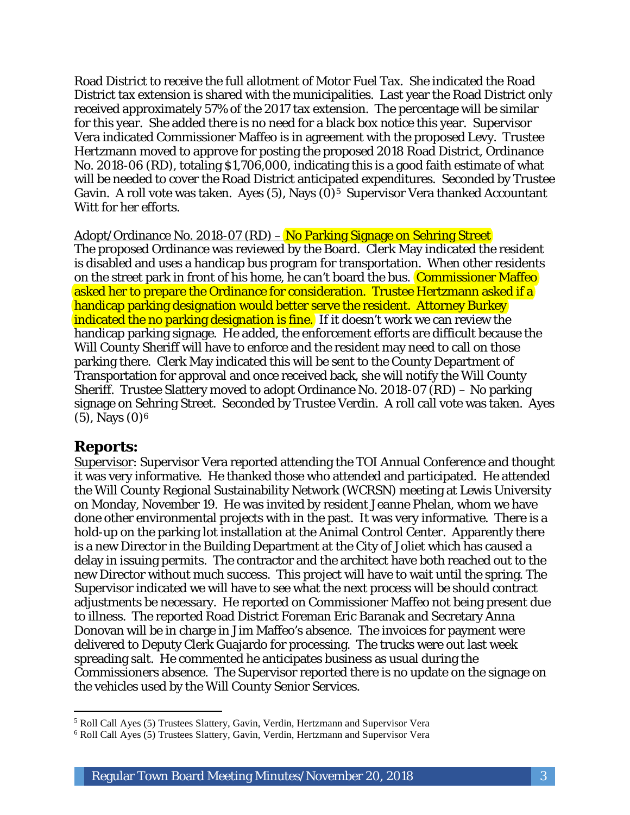Road District to receive the full allotment of Motor Fuel Tax. She indicated the Road District tax extension is shared with the municipalities. Last year the Road District only received approximately 57% of the 2017 tax extension. The percentage will be similar for this year. She added there is no need for a black box notice this year. Supervisor Vera indicated Commissioner Maffeo is in agreement with the proposed Levy. Trustee Hertzmann moved to approve for posting the proposed 2018 Road District, Ordinance No. 2018-06 (RD), totaling \$1,706,000, indicating this is a good faith estimate of what will be needed to cover the Road District anticipated expenditures. Seconded by Trustee Gavin. A roll vote was taken. Ayes  $(5)$ , Nays  $(0)<sup>5</sup>$  Supervisor Vera thanked Accountant Witt for her efforts.

Adopt/Ordinance No. 2018-07 (RD) – No Parking Signage on Sehring Street

The proposed Ordinance was reviewed by the Board. Clerk May indicated the resident is disabled and uses a handicap bus program for transportation. When other residents on the street park in front of his home, he can't board the bus. Commissioner Maffeo asked her to prepare the Ordinance for consideration. Trustee Hertzmann asked if a handicap parking designation would better serve the resident. Attorney Burkey indicated the no parking designation is fine. If it doesn't work we can review the handicap parking signage. He added, the enforcement efforts are difficult because the Will County Sheriff will have to enforce and the resident may need to call on those parking there. Clerk May indicated this will be sent to the County Department of Transportation for approval and once received back, she will notify the Will County Sheriff. Trustee Slattery moved to adopt Ordinance No. 2018-07 (RD) – No parking signage on Sehring Street. Seconded by Trustee Verdin. A roll call vote was taken. Ayes  $(5)$ , Nays  $(0)<sup>6</sup>$ 

### **Reports:**

I

Supervisor: Supervisor Vera reported attending the TOI Annual Conference and thought it was very informative. He thanked those who attended and participated. He attended the Will County Regional Sustainability Network (WCRSN) meeting at Lewis University on Monday, November 19. He was invited by resident Jeanne Phelan, whom we have done other environmental projects with in the past. It was very informative. There is a hold-up on the parking lot installation at the Animal Control Center. Apparently there is a new Director in the Building Department at the City of Joliet which has caused a delay in issuing permits. The contractor and the architect have both reached out to the new Director without much success. This project will have to wait until the spring. The Supervisor indicated we will have to see what the next process will be should contract adjustments be necessary. He reported on Commissioner Maffeo not being present due to illness. The reported Road District Foreman Eric Baranak and Secretary Anna Donovan will be in charge in Jim Maffeo's absence. The invoices for payment were delivered to Deputy Clerk Guajardo for processing. The trucks were out last week spreading salt. He commented he anticipates business as usual during the Commissioners absence. The Supervisor reported there is no update on the signage on the vehicles used by the Will County Senior Services.

<sup>5</sup> Roll Call Ayes (5) Trustees Slattery, Gavin, Verdin, Hertzmann and Supervisor Vera

<sup>6</sup> Roll Call Ayes (5) Trustees Slattery, Gavin, Verdin, Hertzmann and Supervisor Vera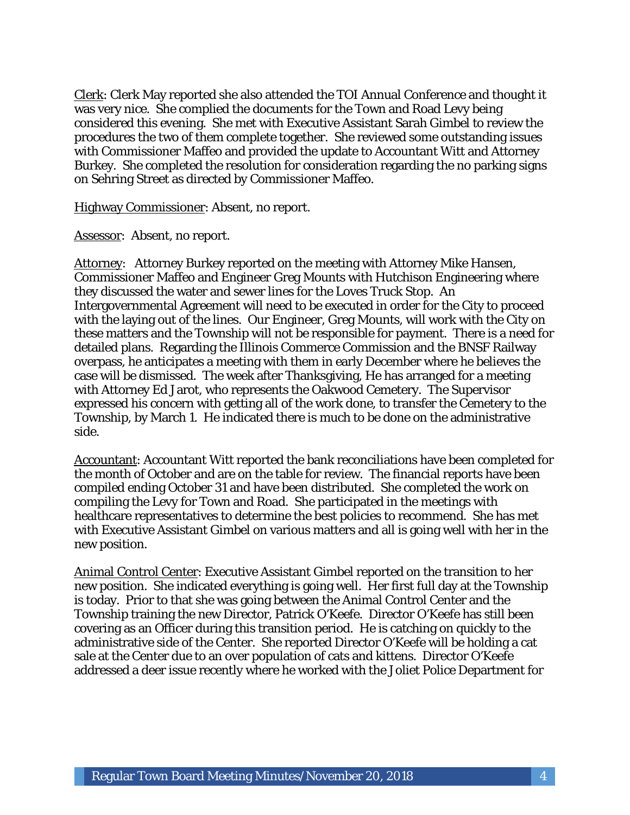Clerk: Clerk May reported she also attended the TOI Annual Conference and thought it was very nice. She complied the documents for the Town and Road Levy being considered this evening. She met with Executive Assistant Sarah Gimbel to review the procedures the two of them complete together. She reviewed some outstanding issues with Commissioner Maffeo and provided the update to Accountant Witt and Attorney Burkey. She completed the resolution for consideration regarding the no parking signs on Sehring Street as directed by Commissioner Maffeo.

Highway Commissioner: Absent, no report.

Assessor: Absent, no report.

Attorney: Attorney Burkey reported on the meeting with Attorney Mike Hansen, Commissioner Maffeo and Engineer Greg Mounts with Hutchison Engineering where they discussed the water and sewer lines for the Loves Truck Stop. An Intergovernmental Agreement will need to be executed in order for the City to proceed with the laying out of the lines. Our Engineer, Greg Mounts, will work with the City on these matters and the Township will not be responsible for payment. There is a need for detailed plans. Regarding the Illinois Commerce Commission and the BNSF Railway overpass, he anticipates a meeting with them in early December where he believes the case will be dismissed. The week after Thanksgiving, He has arranged for a meeting with Attorney Ed Jarot, who represents the Oakwood Cemetery. The Supervisor expressed his concern with getting all of the work done, to transfer the Cemetery to the Township, by March 1. He indicated there is much to be done on the administrative side.

Accountant: Accountant Witt reported the bank reconciliations have been completed for the month of October and are on the table for review. The financial reports have been compiled ending October 31 and have been distributed. She completed the work on compiling the Levy for Town and Road. She participated in the meetings with healthcare representatives to determine the best policies to recommend. She has met with Executive Assistant Gimbel on various matters and all is going well with her in the new position.

Animal Control Center: Executive Assistant Gimbel reported on the transition to her new position. She indicated everything is going well. Her first full day at the Township is today. Prior to that she was going between the Animal Control Center and the Township training the new Director, Patrick O'Keefe. Director O'Keefe has still been covering as an Officer during this transition period. He is catching on quickly to the administrative side of the Center. She reported Director O'Keefe will be holding a cat sale at the Center due to an over population of cats and kittens. Director O'Keefe addressed a deer issue recently where he worked with the Joliet Police Department for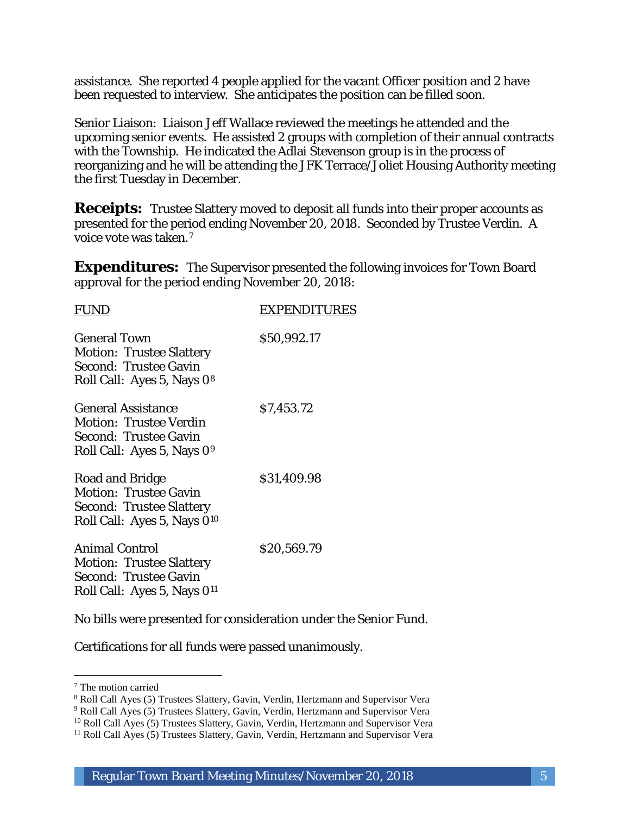assistance. She reported 4 people applied for the vacant Officer position and 2 have been requested to interview. She anticipates the position can be filled soon.

Senior Liaison: Liaison Jeff Wallace reviewed the meetings he attended and the upcoming senior events. He assisted 2 groups with completion of their annual contracts with the Township. He indicated the Adlai Stevenson group is in the process of reorganizing and he will be attending the JFK Terrace/Joliet Housing Authority meeting the first Tuesday in December.

**Receipts:** Trustee Slattery moved to deposit all funds into their proper accounts as presented for the period ending November 20, 2018. Seconded by Trustee Verdin. A voice vote was taken.7

**Expenditures:** The Supervisor presented the following invoices for Town Board approval for the period ending November 20, 2018:

| <b>FUNL</b>                                                                                                                          | <b>EXPENDITURES</b> |
|--------------------------------------------------------------------------------------------------------------------------------------|---------------------|
| <b>General Town</b><br><b>Motion: Trustee Slattery</b><br>Second: Trustee Gavin<br>Roll Call: Ayes 5, Nays 08                        | \$50,992.17         |
| <b>General Assistance</b><br><b>Motion: Trustee Verdin</b><br><b>Second: Trustee Gavin</b><br>Roll Call: Ayes 5, Nays 0 <sup>9</sup> | \$7,453.72          |
| Road and Bridge<br><b>Motion: Trustee Gavin</b><br><b>Second: Trustee Slattery</b><br>Roll Call: Ayes 5, Nays 0 <sup>10</sup>        | \$31,409.98         |
| <b>Animal Control</b><br><b>Motion: Trustee Slattery</b><br><b>Second: Trustee Gavin</b><br>Roll Call: Ayes 5, Nays 0 <sup>11</sup>  | \$20,569.79         |
|                                                                                                                                      |                     |

No bills were presented for consideration under the Senior Fund.

Certifications for all funds were passed unanimously.

I

<sup>7</sup> The motion carried

<sup>8</sup> Roll Call Ayes (5) Trustees Slattery, Gavin, Verdin, Hertzmann and Supervisor Vera

<sup>9</sup> Roll Call Ayes (5) Trustees Slattery, Gavin, Verdin, Hertzmann and Supervisor Vera

<sup>&</sup>lt;sup>10</sup> Roll Call Ayes (5) Trustees Slattery, Gavin, Verdin, Hertzmann and Supervisor Vera

<sup>&</sup>lt;sup>11</sup> Roll Call Ayes (5) Trustees Slattery, Gavin, Verdin, Hertzmann and Supervisor Vera